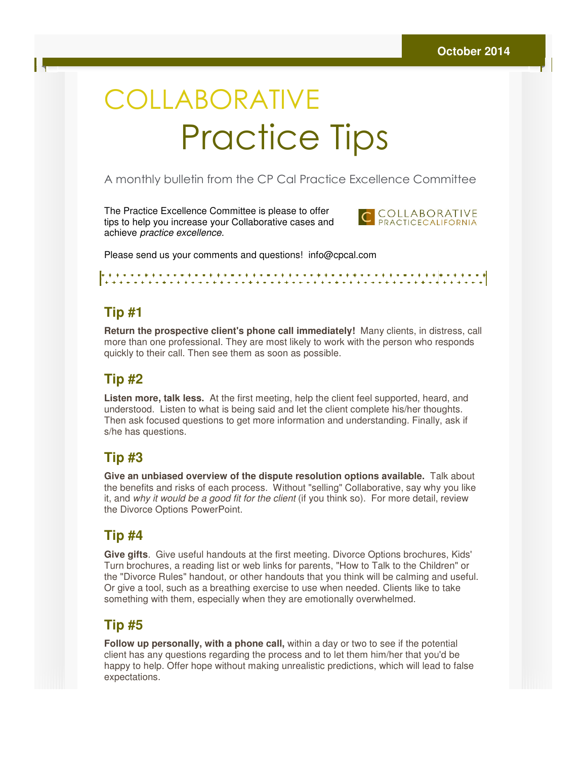# COLLABORATIVE Practice Practice Tips

#### A monthly bulletin from the CP Cal Practice Excellence Committee

The Practice Excellence Committee is please to offer tips to help you increase your Collaborative cases and achieve practice excellence. tips to help you increase your Collaborative cases and<br>achieve *practice excellence.*<br>Please send us your comments and questions! info@cpcal.com



### **Tip #1**

Return the prospective client's phone call immediately! Many clients, in distress, call more than one professional. They are most likely to work with the person who responds quickly to their call. Then see them as soon as possible.

#### **Tip #2**

**Listen more, talk less.** At the first meeting, help the client feel supported, heard, and understood. Listen to what is being said and let the client complete his/her thoughts. Then ask focused questions to get more information and understanding. Finally, ask if s/he has questions. more than one professional. They are most likely to work with the person who res<br>quickly to their call. Then see them as soon as possible.<br>**Tip #2**<br>Listen more, talk less. At the first meeting, help the client feel support

### **Tip #3**

**Give an unbiased overview of the dispute resolution options available.** Talk about Give an unbiased overview of the dispute resolution options available. Talk about<br>the benefits and risks of each process. Without "selling" Collaborative, say why you like it, and why it would be a good fit for the client (if you think so). For more detail, review the Divorce Options PowerPoint.

### **Tip #4**

**Give gifts**. Give useful handouts at the first meeting. Divorce Options brochures, Kids' Give gifts. Give useful handouts at the first meeting. Divorce Options brochures, Kids'<br>Turn brochures, a reading list or web links for parents, "How to Talk to the Children" or the "Divorce Rules" handout, or other handouts that you think will be calming and useful. Or give a tool, such as a breathing exercise to use when needed. Clients like to take something with them, especially when they are emotionally overwhelmed. CORATIVE<br>
Procedure Contribute Speake to offer the control of the productions of the production from the care committee<br>
increase your Collaborative cases to offer<br>
increase your Collaborative cases in foregrope.com<br>
incre

## **Tip #5**

**Follow up personally, with a phone call,** within a day or two to see if the potential client has any questions regarding the process and to let them him/her that you'd be happy to help. Offer hope without making unrealistic predictions, which will lead to false expectations.